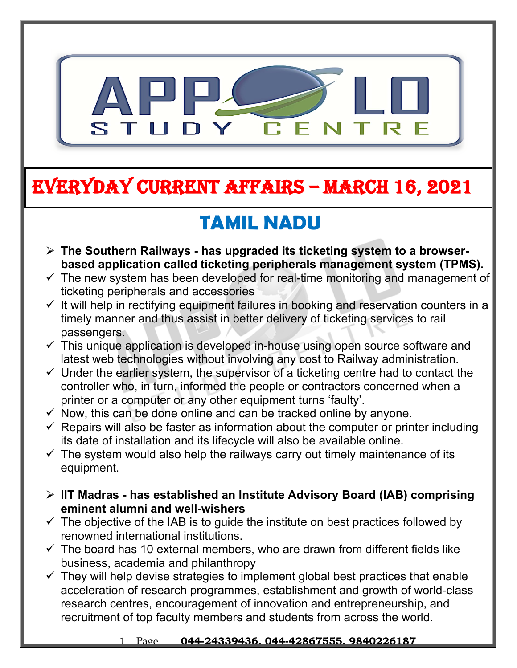

# **EVERYDAY CURRENT AFFAIRS – MARCH 16, 2021**

**-**

# **TAMIL NADU**

- **The Southern Railways has upgraded its ticketing system to a browserbased application called ticketing peripherals management system (TPMS).**
- $\checkmark$  The new system has been developed for real-time monitoring and management of ticketing peripherals and accessories
- $\checkmark$  It will help in rectifying equipment failures in booking and reservation counters in a timely manner and thus assist in better delivery of ticketing services to rail passengers.
- $\checkmark$  This unique application is developed in-house using open source software and latest web technologies without involving any cost to Railway administration.
- $\checkmark$  Under the earlier system, the supervisor of a ticketing centre had to contact the controller who, in turn, informed the people or contractors concerned when a printer or a computer or any other equipment turns 'faulty'.
- $\checkmark$  Now, this can be done online and can be tracked online by anyone.
- $\checkmark$  Repairs will also be faster as information about the computer or printer including its date of installation and its lifecycle will also be available online.
- $\checkmark$  The system would also help the railways carry out timely maintenance of its equipment.
- **IIT Madras has established an Institute Advisory Board (IAB) comprising eminent alumni and well-wishers**
- $\checkmark$  The objective of the IAB is to quide the institute on best practices followed by renowned international institutions.
- $\checkmark$  The board has 10 external members, who are drawn from different fields like business, academia and philanthropy
- $\checkmark$  They will help devise strategies to implement global best practices that enable acceleration of research programmes, establishment and growth of world-class research centres, encouragement of innovation and entrepreneurship, and recruitment of top faculty members and students from across the world.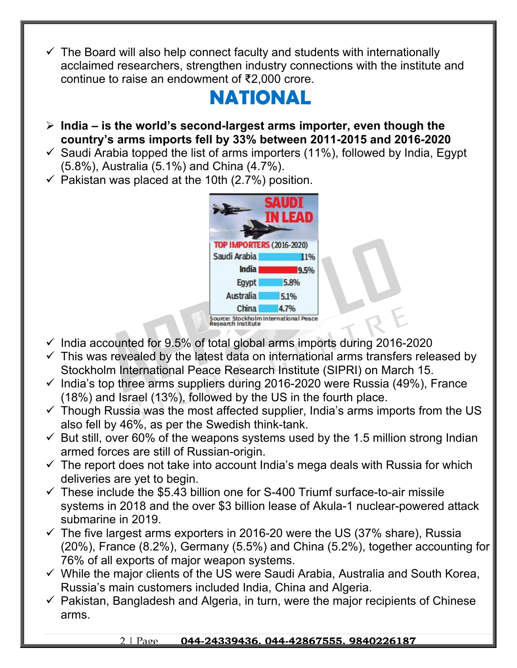$\checkmark$  The Board will also help connect faculty and students with internationally acclaimed researchers, strengthen industry connections with the institute and continue to raise an endowment of ₹2,000 crore.

## **NATIONAL**

- **India is the world's second-largest arms importer, even though the country's arms imports fell by 33% between 2011-2015 and 2016-2020**
- $\checkmark$  Saudi Arabia topped the list of arms importers (11%), followed by India, Egypt (5.8%), Australia (5.1%) and China (4.7%).
- $\checkmark$  Pakistan was placed at the 10th (2.7%) position.



- $\checkmark$  India accounted for 9.5% of total global arms imports during 2016-2020
- $\checkmark$  This was revealed by the latest data on international arms transfers released by Stockholm International Peace Research Institute (SIPRI) on March 15.
- $\checkmark$  India's top three arms suppliers during 2016-2020 were Russia (49%), France (18%) and Israel (13%), followed by the US in the fourth place.
- $\checkmark$  Though Russia was the most affected supplier, India's arms imports from the US also fell by 46%, as per the Swedish think-tank.
- $\checkmark$  But still, over 60% of the weapons systems used by the 1.5 million strong Indian armed forces are still of Russian-origin.
- $\checkmark$  The report does not take into account India's mega deals with Russia for which deliveries are yet to begin.
- $\checkmark$  These include the \$5.43 billion one for S-400 Triumf surface-to-air missile systems in 2018 and the over \$3 billion lease of Akula-1 nuclear-powered attack submarine in 2019.
- $\checkmark$  The five largest arms exporters in 2016-20 were the US (37% share), Russia (20%), France (8.2%), Germany (5.5%) and China (5.2%), together accounting for 76% of all exports of major weapon systems.
- $\checkmark$  While the major clients of the US were Saudi Arabia, Australia and South Korea, Russia's main customers included India, China and Algeria.
- $\checkmark$  Pakistan, Bangladesh and Algeria, in turn, were the major recipients of Chinese arms.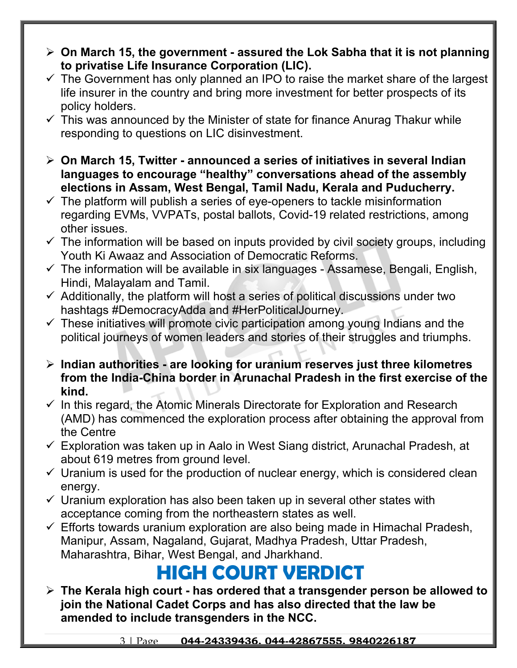- **On March 15, the government assured the Lok Sabha that it is not planning to privatise Life Insurance Corporation (LIC).**
- $\checkmark$  The Government has only planned an IPO to raise the market share of the largest life insurer in the country and bring more investment for better prospects of its policy holders.
- $\checkmark$  This was announced by the Minister of state for finance Anurag Thakur while responding to questions on LIC disinvestment.
- **On March 15, Twitter announced a series of initiatives in several Indian languages to encourage "healthy" conversations ahead of the assembly elections in Assam, West Bengal, Tamil Nadu, Kerala and Puducherry.**
- $\checkmark$  The platform will publish a series of eye-openers to tackle misinformation regarding EVMs, VVPATs, postal ballots, Covid-19 related restrictions, among other issues.
- $\checkmark$  The information will be based on inputs provided by civil society groups, including Youth Ki Awaaz and Association of Democratic Reforms.
- $\checkmark$  The information will be available in six languages Assamese, Bengali, English, Hindi, Malayalam and Tamil.
- $\checkmark$  Additionally, the platform will host a series of political discussions under two hashtags #DemocracyAdda and #HerPoliticalJourney.
- $\checkmark$  These initiatives will promote civic participation among young Indians and the political journeys of women leaders and stories of their struggles and triumphs.
- **Indian authorities are looking for uranium reserves just three kilometres from the India-China border in Arunachal Pradesh in the first exercise of the kind.**
- $\checkmark$  In this regard, the Atomic Minerals Directorate for Exploration and Research (AMD) has commenced the exploration process after obtaining the approval from the Centre
- $\checkmark$  Exploration was taken up in Aalo in West Siang district, Arunachal Pradesh, at about 619 metres from ground level.
- $\checkmark$  Uranium is used for the production of nuclear energy, which is considered clean energy.
- $\checkmark$  Uranium exploration has also been taken up in several other states with acceptance coming from the northeastern states as well.
- $\checkmark$  Efforts towards uranium exploration are also being made in Himachal Pradesh, Manipur, Assam, Nagaland, Gujarat, Madhya Pradesh, Uttar Pradesh, Maharashtra, Bihar, West Bengal, and Jharkhand.

## **HIGH COURT VERDICT**

 **The Kerala high court - has ordered that a transgender person be allowed to join the National Cadet Corps and has also directed that the law be amended to include transgenders in the NCC.**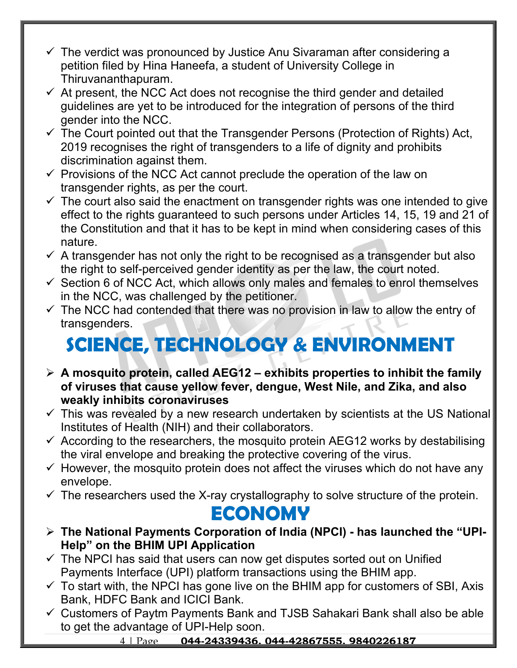- $\checkmark$  The verdict was pronounced by Justice Anu Sivaraman after considering a petition filed by Hina Haneefa, a student of University College in Thiruvananthapuram.
- $\checkmark$  At present, the NCC Act does not recognise the third gender and detailed guidelines are yet to be introduced for the integration of persons of the third gender into the NCC.
- $\checkmark$  The Court pointed out that the Transgender Persons (Protection of Rights) Act, 2019 recognises the right of transgenders to a life of dignity and prohibits discrimination against them.
- $\checkmark$  Provisions of the NCC Act cannot preclude the operation of the law on transgender rights, as per the court.
- $\checkmark$  The court also said the enactment on transgender rights was one intended to give effect to the rights guaranteed to such persons under Articles 14, 15, 19 and 21 of the Constitution and that it has to be kept in mind when considering cases of this nature.
- $\checkmark$  A transgender has not only the right to be recognised as a transgender but also the right to self-perceived gender identity as per the law, the court noted.
- $\checkmark$  Section 6 of NCC Act, which allows only males and females to enrol themselves in the NCC, was challenged by the petitioner.
- $\checkmark$  The NCC had contended that there was no provision in law to allow the entry of transgenders.

# **SCIENCE, TECHNOLOGY & ENVIRONMENT**

- **A mosquito protein, called AEG12 exhibits properties to inhibit the family of viruses that cause yellow fever, dengue, West Nile, and Zika, and also weakly inhibits coronaviruses**
- $\checkmark$  This was revealed by a new research undertaken by scientists at the US National Institutes of Health (NIH) and their collaborators.
- $\checkmark$  According to the researchers, the mosquito protein AEG12 works by destabilising the viral envelope and breaking the protective covering of the virus.
- $\checkmark$  However, the mosquito protein does not affect the viruses which do not have any envelope.
- $\checkmark$  The researchers used the X-ray crystallography to solve structure of the protein.

### **ECONOMY**

- **The National Payments Corporation of India (NPCI) has launched the "UPI-Help" on the BHIM UPI Application**
- $\checkmark$  The NPCI has said that users can now get disputes sorted out on Unified Payments Interface (UPI) platform transactions using the BHIM app.
- $\checkmark$  To start with, the NPCI has gone live on the BHIM app for customers of SBI, Axis Bank, HDFC Bank and ICICI Bank.
- $\checkmark$  Customers of Paytm Payments Bank and TJSB Sahakari Bank shall also be able to get the advantage of UPI-Help soon.